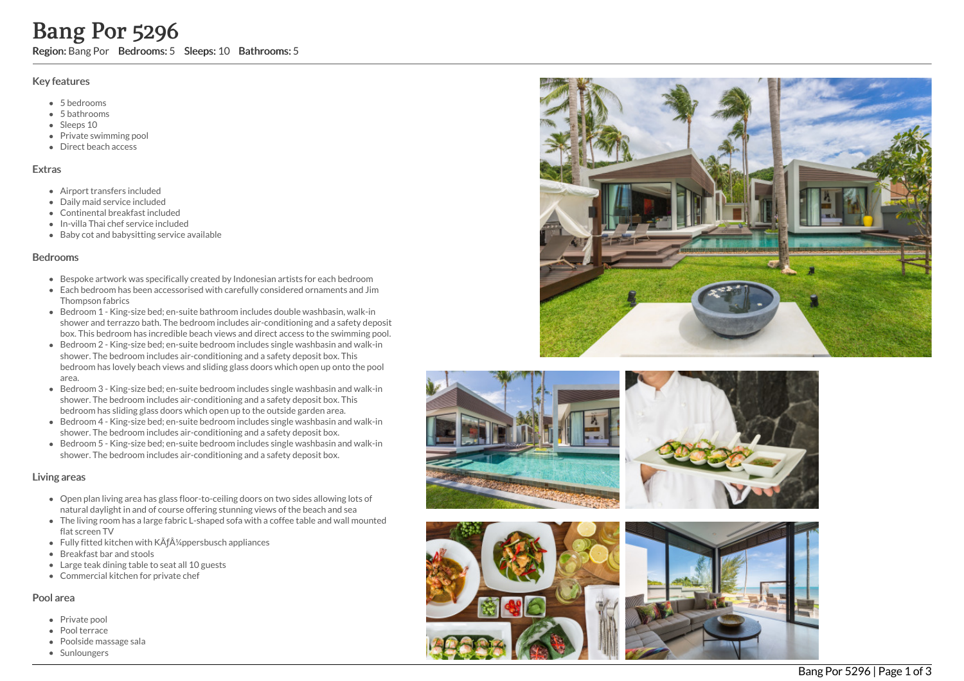# Key features

- 5 b e d r o o m s
- 5 b a t h r o o m s
- Sleeps 10
- Private swimming pool
- Direct beach access

## **Extras**

- Airport transfers included
- D aily m aid s e r vic e in clu d e d
- Continental breakfast included
- In-villa Thai chef service include d
- Baby cot and babysitting service available

# **Bedrooms**

- Bespoke artwork was specifically created by Indonesian artists for each bedroom
- Each bedroom has been accessorised with carefully considered ornaments and Jim Thompson fabrics
- Bedroom 1 King-size bed; en-suite bathroom includes double washbasin, walk-in shower and terrazzo bath. The bedroom includes air-conditioning and a safety deposit box. This bedroom has incredible beach views and direct access to the swimming pool.
- Bedroom 2 King-size bed; en-suite bedroom includes single washbasin and walk-in shower. The bedroom includes air-conditioning and a safety deposit box. This bedroom has lovely beach views and sliding glass doors which open up onto the pool area. **Bang Por 5296**<br>
Region: Bang Por Bedrooms: 5 Sleeps: 10 Bathrooms: 5<br>
Key features<br>
• 5 bedrooms<br>
• 5 bedrooms<br>
• Sleeps 10<br>
• Private swimming pool<br>
• Private swimming pool<br>
• Private swimming pool<br>
• Private swimming p
	- Bedroom 3 King-size bed; en-suite bedroom includes single washbasin and walk-in shower. The bedroom includes air-conditioning and a safety deposit box. This bedroom has sliding glass doors which open up to the outside garden area.
	- Bedroom 4 King-size bed; en-suite bedroom includes single washbasin and walk-in shower. The bedroom includes air-conditioning and a safety deposit box.
	- Bedroom 5 King-size bed; en-suite bedroom includes single washbasin and walk-in shower. The bedroom includes air-conditioning and a safety deposit box.

# Living areas

- Open plan living area has glass floor-to-ceiling doors on two sides allowing lots of natural daylight in and of course offering stunning views of the beach and sea
- The living room has a large fabric L-shaped sofa with a coffee table and wall mounted flat screen TV
- Fully fitted kitchen with KÃf¼ppersbusch appliances
- Breakfast bar and stools
- Large teak dining table to seat all 10 guests
- Commercial kitchen for private chef

# Pool area

- Private pool
- Pool terrace
- Poolside massage sala
- 









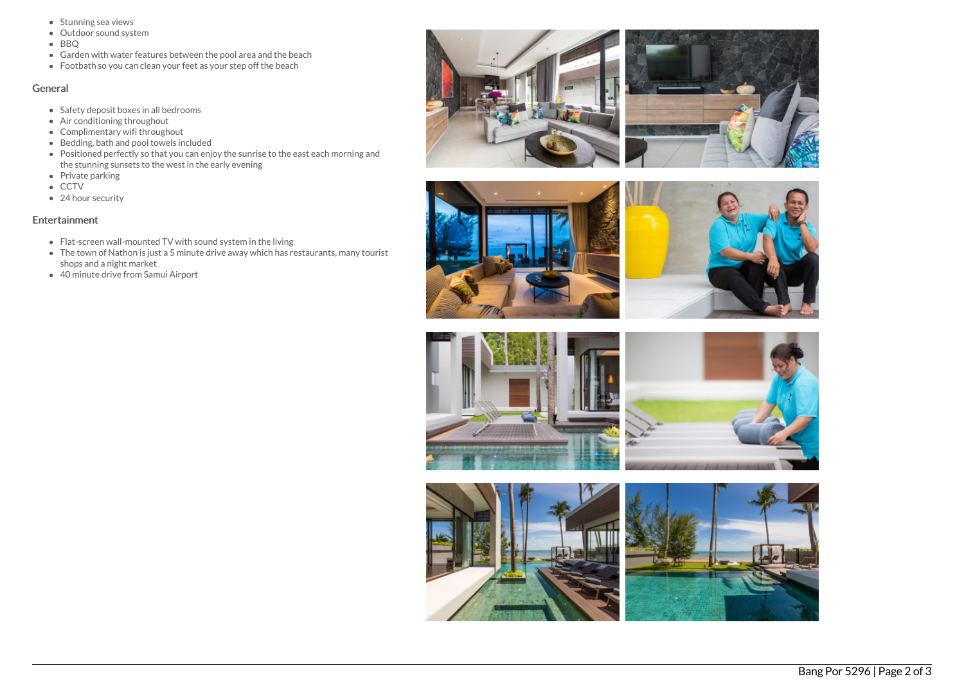- Stunning sea views
- Outdoor sound system
- BBQ
- Garden with water features between the pool area and the beach
- Footbath so you can clean your feet as your step off the beach

## General

- Safety deposit boxes in all bedrooms
- Air conditioning throughout
- Complimentary wifi throughout
- Bedding, bath and pool towels included
- Positioned perfectly so that you can enjoy the sunrise to the east each morning and the stunning sunsets to the west in the early evening
- Private parking
- CCTV
- 24 hour security

# Entertainment

- Flat-screen wall-mounted TV with sound system in the living
- The town of Nathon is just a 5 minute drive away which has restaurants, many tourist shops and a night market
- 40 minute drive from Samui Airport